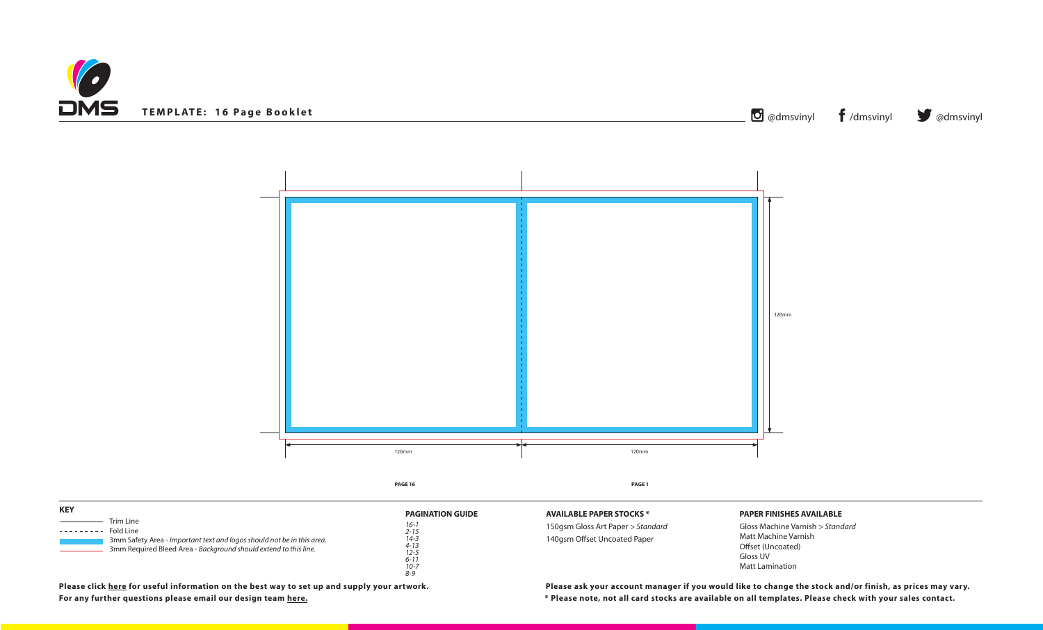



**Please click [here](https://www.discmanufacturingservices.com/cd/templates#artwork-specifications) for useful information on the best way to set up and supply your artwork. Please ask your account manager if you would like to change the stock and/or finish, as prices may vary. For any further questions please email our design team [here](mailto:graphics%40discmanufacturingservices.com?subject=Template%20Enquiry). \* Please note, not all card stocks are available on all templates. Please check with your sales contact.**

**DCKS** \*

| <b>KEY</b> |                                                                                                                                                                      |                                                                                                                        | <b>AVAILABLE PAPER STO</b>                      |
|------------|----------------------------------------------------------------------------------------------------------------------------------------------------------------------|------------------------------------------------------------------------------------------------------------------------|-------------------------------------------------|
| ---------  | Trim Line<br>Fold Line<br>3mm Safety Area - Important text and logos should not be in this area.<br>3mm Required Bleed Area - Background should extend to this line. | <b>PAGINATION GUIDE</b><br>$16 - i$<br>$2 - 15$<br>$14 - 3$<br>$4 - 13$<br>$12 - 5$<br>$6 - 11$<br>$10 - 7$<br>$8 - 9$ | 150gsm Gloss Art Paper<br>140gsm Offset Uncoate |

## **PAPER FINISHES AVAILABLE**

Gloss Machine Varnish *> Standard* Matt Machine Varnish Offset (Uncoated) Gloss UV Matt Lamination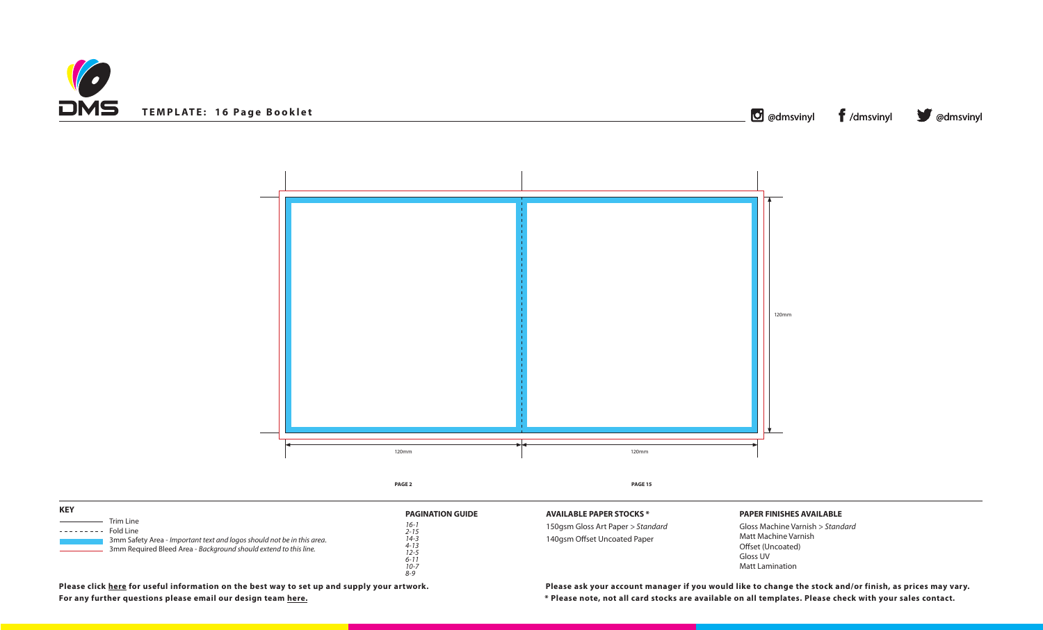



# **PAPER FINISHES AVAILABLE**

Gloss Machine Varnish *> Standard* Matt Machine Varnish Offset (Uncoated) Gloss UV Matt Lamination

**For any further questions please email our design team [here](mailto:graphics%40discmanufacturingservices.com?subject=Template%20Enquiry). \* Please note, not all card stocks are available on all templates. Please check with your sales contact. Please click [here](https://www.discmanufacturingservices.com/cd/templates#artwork-specifications) for useful information on the best way to set up and supply your artwork. Please ask your account manager if you would like to change the stock and/or finish, as prices may vary.**

| <b>KEY</b>                                                                                                                                                                        | <b>PAGINATION GUIDE</b>                      | <b>AVAILABLE PAPER STO</b>                     |
|-----------------------------------------------------------------------------------------------------------------------------------------------------------------------------------|----------------------------------------------|------------------------------------------------|
| Trim Line<br>Fold Line<br>---------<br>3mm Safety Area - Important text and logos should not be in this area.<br>3mm Required Bleed Area - Background should extend to this line. | $16 - i$<br>$2 - 15$<br>$14 - 3$<br>$4 - 13$ | 150gsm Gloss Art Pape<br>140gsm Offset Uncoate |
|                                                                                                                                                                                   | $12 - 5$<br>$6 - 11$<br>$10 - 7$<br>$8 - 9$  |                                                |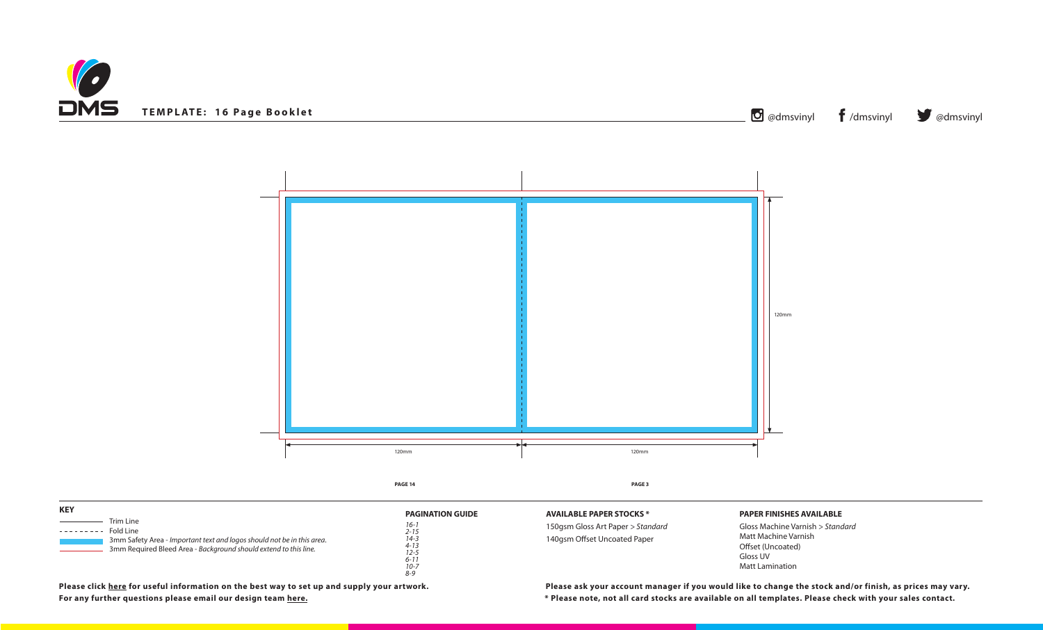



# **PAPER FINISHES AVAILABLE**

Gloss Machine Varnish *> Standard* Matt Machine Varnish Offset (Uncoated) Gloss UV Matt Lamination

**For any further questions please email our design team [here](mailto:graphics%40discmanufacturingservices.com?subject=Template%20Enquiry). \* Please note, not all card stocks are available on all templates. Please check with your sales contact. Please click [here](https://www.discmanufacturingservices.com/cd/templates#artwork-specifications) for useful information on the best way to set up and supply your artwork. Please ask your account manager if you would like to change the stock and/or finish, as prices may vary.**

**DCKS** \*

| <b>KEY</b> |                                                                                                                                                                      |                                                                                                                        | <b>AVAILABLE PAPER STO</b>                      |
|------------|----------------------------------------------------------------------------------------------------------------------------------------------------------------------|------------------------------------------------------------------------------------------------------------------------|-------------------------------------------------|
| ---------  | Trim Line<br>Fold Line<br>3mm Safety Area - Important text and logos should not be in this area.<br>3mm Required Bleed Area - Background should extend to this line. | <b>PAGINATION GUIDE</b><br>$16 - i$<br>$2 - 15$<br>$14 - 3$<br>$4 - 13$<br>$12 - 5$<br>$6 - 11$<br>$10 - 7$<br>$8 - 9$ | 150gsm Gloss Art Paper<br>140gsm Offset Uncoate |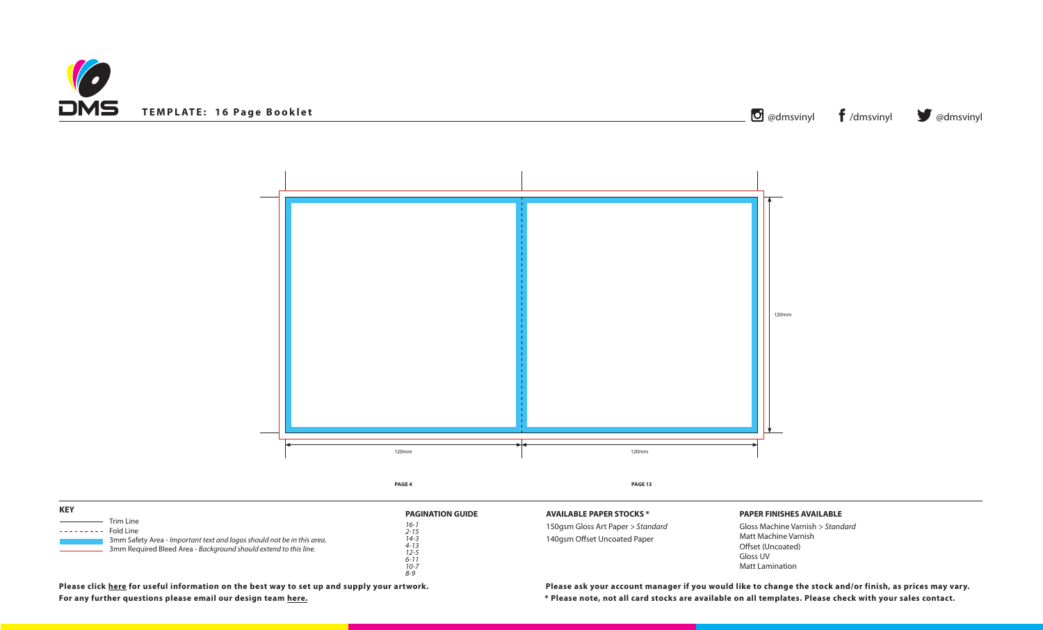



# **PAPER FINISHES AVAILABLE**

Gloss Machine Varnish *> Standard* Matt Machine Varnish Offset (Uncoated) Gloss UV Matt Lamination

**For any further questions please email our design team [here](mailto:graphics%40discmanufacturingservices.com?subject=Template%20Enquiry). \* Please note, not all card stocks are available on all templates. Please check with your sales contact. Please click [here](https://www.discmanufacturingservices.com/cd/templates#artwork-specifications) for useful information on the best way to set up and supply your artwork. Please ask your account manager if you would like to change the stock and/or finish, as prices may vary.**

| <b>KEY</b>                                                                                                                                                                        | <b>PAGINATION GUIDE</b>                                                                     | <b>AVAILABLE PAPER STO</b>                     |
|-----------------------------------------------------------------------------------------------------------------------------------------------------------------------------------|---------------------------------------------------------------------------------------------|------------------------------------------------|
| Trim Line<br>Fold Line<br>---------<br>3mm Safety Area - Important text and logos should not be in this area.<br>3mm Required Bleed Area - Background should extend to this line. | $16 - i$<br>$2 - 15$<br>$14 - 3$<br>$4 - 13$<br>$12 - 5$<br>$6 - 11$<br>$10 - 7$<br>$8 - 9$ | 150gsm Gloss Art Pape<br>140gsm Offset Uncoate |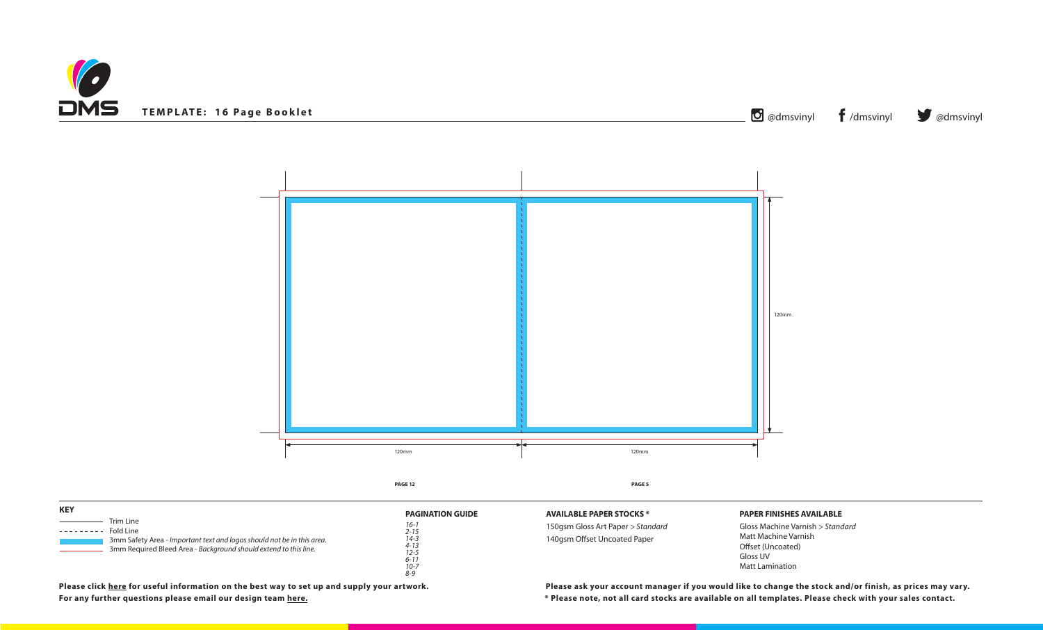



**For any further questions please email our design team [here](mailto:graphics%40discmanufacturingservices.com?subject=Template%20Enquiry). \* Please note, not all card stocks are available on all templates. Please check with your sales contact.**

**FOCKS** \*

# **PAPER FINISHES AVAILABLE**

Gloss Machine Varnish *> Standard* Matt Machine Varnish Offset (Uncoated) Gloss UV Matt Lamination

*8-9*

| <b>KEY</b>                                                                                                                                                                        | <b>PAGINATION GUIDE</b>                                                      | <b>AVAILABLE PAPER ST</b>                     |
|-----------------------------------------------------------------------------------------------------------------------------------------------------------------------------------|------------------------------------------------------------------------------|-----------------------------------------------|
| Trim Line<br>Fold Line<br>---------<br>3mm Safety Area - Important text and logos should not be in this area.<br>3mm Required Bleed Area - Background should extend to this line. | $16 - 1$<br>$2 - 15$<br>14-3<br>$4 - 13$<br>$12 - 5$<br>$6 - 11$<br>$10 - 7$ | 150gsm Gloss Art Pape<br>140gsm Offset Uncoat |

**Please click [here](https://www.discmanufacturingservices.com/cd/templates#artwork-specifications) for useful information on the best way to set up and supply your artwork. Please ask your account manager if you would like to change the stock and/or finish, as prices may vary.**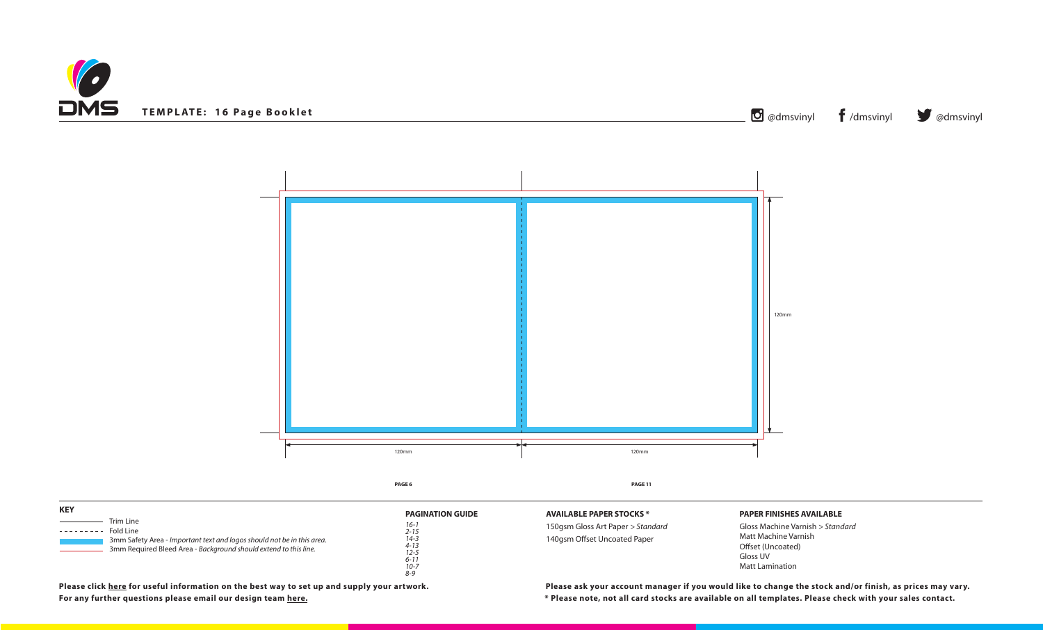



# **PAPER FINISHES AVAILABLE**

Gloss Machine Varnish *> Standard* Matt Machine Varnish Offset (Uncoated) Gloss UV Matt Lamination

**For any further questions please email our design team [here](mailto:graphics%40discmanufacturingservices.com?subject=Template%20Enquiry). \* Please note, not all card stocks are available on all templates. Please check with your sales contact. Please click [here](https://www.discmanufacturingservices.com/cd/templates#artwork-specifications) for useful information on the best way to set up and supply your artwork. Please ask your account manager if you would like to change the stock and/or finish, as prices may vary.**

| <b>KEY</b>                                                                                                                                                                      | <b>PAGINATION GUIDE</b>                                                                   | <b>AVAILABLE PAPER STO</b>                     |
|---------------------------------------------------------------------------------------------------------------------------------------------------------------------------------|-------------------------------------------------------------------------------------------|------------------------------------------------|
| Trim Line<br>Fold Line<br>-------<br>3mm Safety Area - Important text and logos should not be in this area.<br>3mm Required Bleed Area - Background should extend to this line. | $16-1$<br>$2 - 15$<br>$14 - 3$<br>$4 - 13$<br>$12 - 5$<br>$6 - 11$<br>$10 - 7$<br>$8 - 9$ | 150gsm Gloss Art Pape<br>140gsm Offset Uncoate |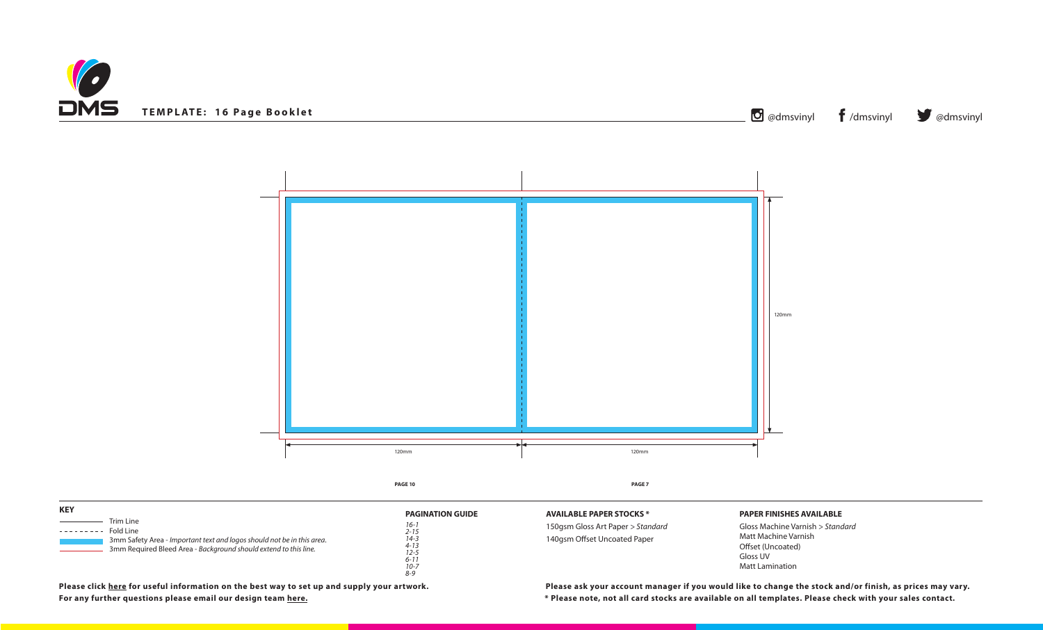



## **PAPER FINISHES AVAILABLE**

Gloss Machine Varnish *> Standard* Matt Machine Varnish Offset (Uncoated) Gloss UV Matt Lamination

**For any further questions please email our design team here. \* Please note, not all card stocks are available on all templates. Please check with your sales contact. Please click [here](https://www.discmanufacturingservices.com/cd/templates#artwork-specifications) for useful information on the best way to set up and supply your artwork. Please ask your account manager if you would like to change the stock and/or finish, as prices may vary.**

**FOCKS** \*

*8-9*

| <b>KEY</b>                                                                                                                                                                        | <b>PAGINATION GUIDE</b>                                                          | <b>AVAILABLE PAPER ST</b>                     |
|-----------------------------------------------------------------------------------------------------------------------------------------------------------------------------------|----------------------------------------------------------------------------------|-----------------------------------------------|
| Trim Line<br>Fold Line<br>---------<br>3mm Safety Area - Important text and logos should not be in this area.<br>3mm Required Bleed Area - Background should extend to this line. | $16 - i$<br>$2 - 15$<br>$14 - 3$<br>$4 - 13$<br>$12 - 5$<br>$6 - 11$<br>$10 - 7$ | 150gsm Gloss Art Pape<br>140gsm Offset Uncoat |